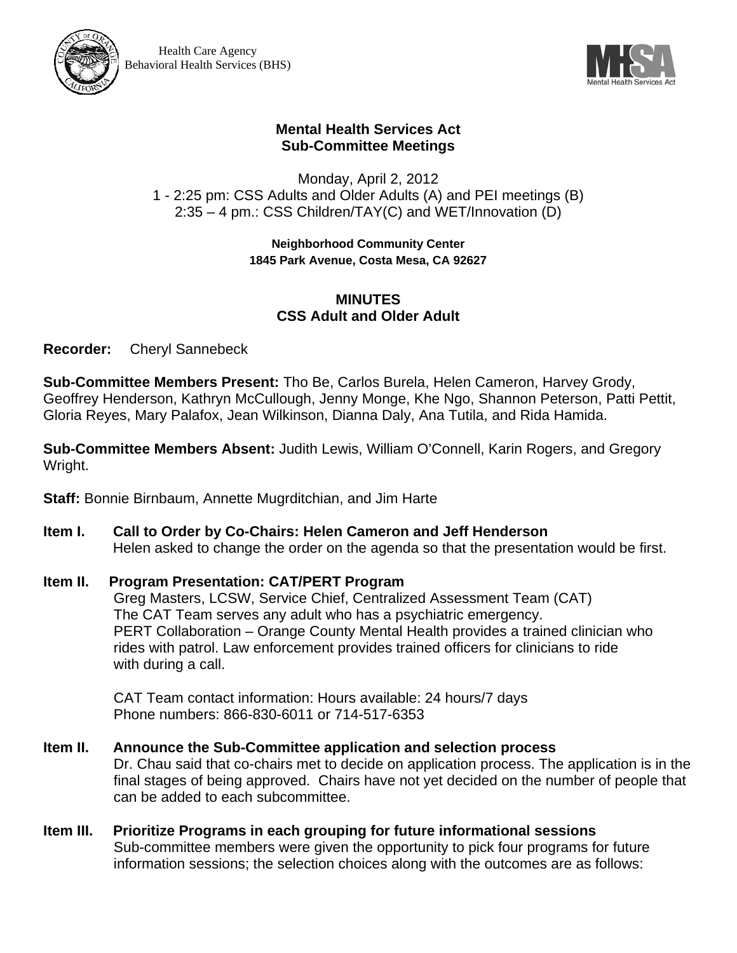



## **Mental Health Services Act Sub-Committee Meetings**

Monday, April 2, 2012 1 - 2:25 pm: CSS Adults and Older Adults (A) and PEI meetings (B) 2:35 – 4 pm.: CSS Children/TAY(C) and WET/Innovation (D)

## **Neighborhood Community Center 1845 Park Avenue, Costa Mesa, CA 92627**

## **MINUTES CSS Adult and Older Adult**

**Recorder:** Cheryl Sannebeck

**Sub-Committee Members Present:** Tho Be, Carlos Burela, Helen Cameron, Harvey Grody, Geoffrey Henderson, Kathryn McCullough, Jenny Monge, Khe Ngo, Shannon Peterson, Patti Pettit, Gloria Reyes, Mary Palafox, Jean Wilkinson, Dianna Daly, Ana Tutila, and Rida Hamida.

**Sub-Committee Members Absent:** Judith Lewis, William O'Connell, Karin Rogers, and Gregory Wright.

**Staff:** Bonnie Birnbaum, Annette Mugrditchian, and Jim Harte

**Item I. Call to Order by Co-Chairs: Helen Cameron and Jeff Henderson**  Helen asked to change the order on the agenda so that the presentation would be first.

## **Item II. Program Presentation: CAT/PERT Program**

Greg Masters, LCSW, Service Chief, Centralized Assessment Team (CAT) The CAT Team serves any adult who has a psychiatric emergency. PERT Collaboration – Orange County Mental Health provides a trained clinician who rides with patrol. Law enforcement provides trained officers for clinicians to ride with during a call.

CAT Team contact information: Hours available: 24 hours/7 days Phone numbers: 866-830-6011 or 714-517-6353

- **Item II. Announce the Sub-Committee application and selection process**  Dr. Chau said that co-chairs met to decide on application process. The application is in the final stages of being approved. Chairs have not yet decided on the number of people that can be added to each subcommittee.
- **Item III. Prioritize Programs in each grouping for future informational sessions**  Sub-committee members were given the opportunity to pick four programs for future information sessions; the selection choices along with the outcomes are as follows: